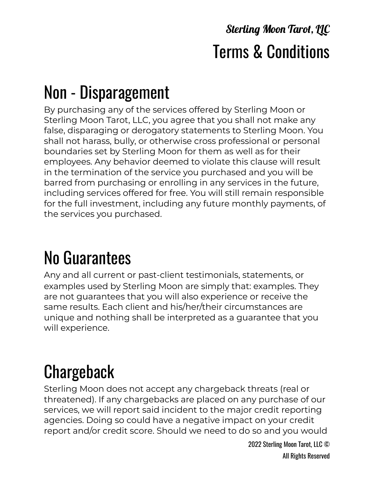#### **Sterling Moon Tarot, LLC** Terms & Conditions

## Non - Disparagement

By purchasing any of the services offered by Sterling Moon or Sterling Moon Tarot, LLC, you agree that you shall not make any false, disparaging or derogatory statements to Sterling Moon. You shall not harass, bully, or otherwise cross professional or personal boundaries set by Sterling Moon for them as well as for their employees. Any behavior deemed to violate this clause will result in the termination of the service you purchased and you will be barred from purchasing or enrolling in any services in the future, including services offered for free. You will still remain responsible for the full investment, including any future monthly payments, of the services you purchased.

# No Guarantees

Any and all current or past-client testimonials, statements, or examples used by Sterling Moon are simply that: examples. They are not guarantees that you will also experience or receive the same results. Each client and his/her/their circumstances are unique and nothing shall be interpreted as a guarantee that you will experience.

# Chargeback

Sterling Moon does not accept any chargeback threats (real or threatened). If any chargebacks are placed on any purchase of our services, we will report said incident to the major credit reporting agencies. Doing so could have a negative impact on your credit report and/or credit score. Should we need to do so and you would

> 2022 Sterling Moon Tarot, LLC © All Rights Reserved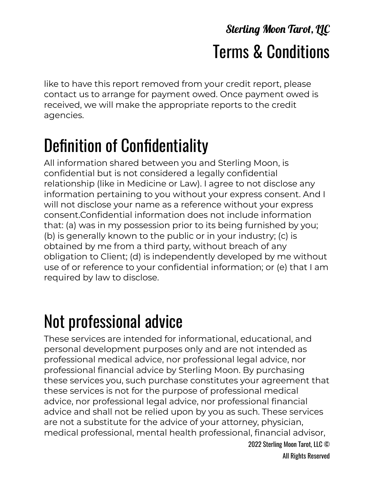#### **Sterling Moon Tarot, LLC** Terms & Conditions

like to have this report removed from your credit report, please contact us to arrange for payment owed. Once payment owed is received, we will make the appropriate reports to the credit agencies.

## Definition of Confidentiality

All information shared between you and Sterling Moon, is confidential but is not considered a legally confidential relationship (like in Medicine or Law). I agree to not disclose any information pertaining to you without your express consent. And I will not disclose your name as a reference without your express consent.Confidential information does not include information that: (a) was in my possession prior to its being furnished by you; (b) is generally known to the public or in your industry; (c) is obtained by me from a third party, without breach of any obligation to Client; (d) is independently developed by me without use of or reference to your confidential information; or (e) that I am required by law to disclose.

## Not professional advice

These services are intended for informational, educational, and personal development purposes only and are not intended as professional medical advice, nor professional legal advice, nor professional financial advice by Sterling Moon. By purchasing these services you, such purchase constitutes your agreement that these services is not for the purpose of professional medical advice, nor professional legal advice, nor professional financial advice and shall not be relied upon by you as such. These services are not a substitute for the advice of your attorney, physician, medical professional, mental health professional, financial advisor,

2022 Sterling Moon Tarot, LLC © All Rights Reserved